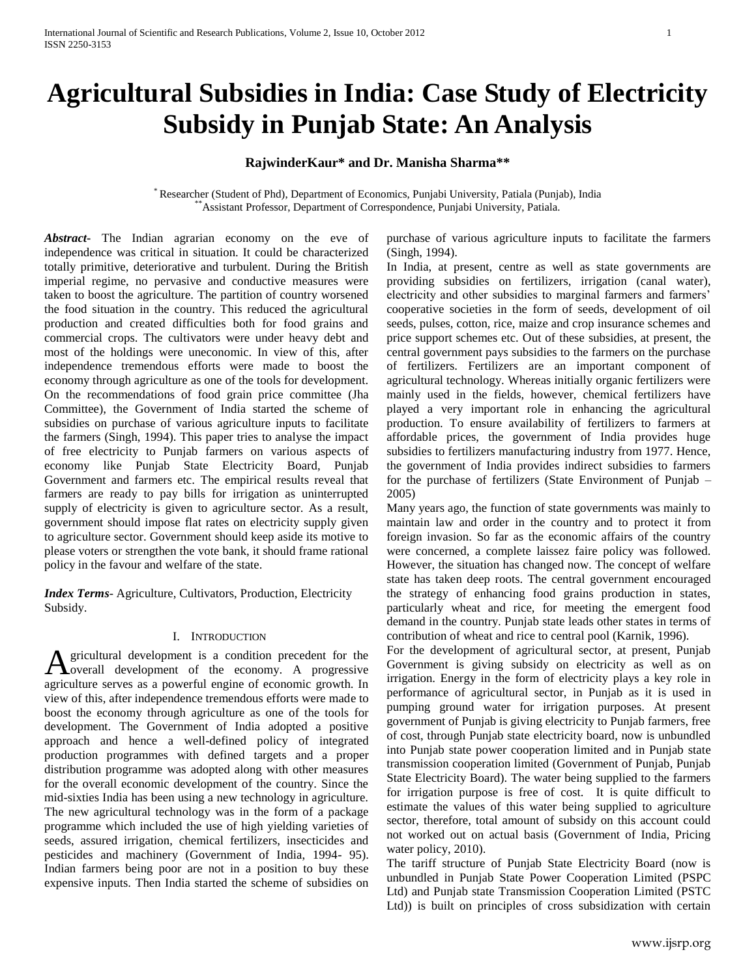# **Agricultural Subsidies in India: Case Study of Electricity Subsidy in Punjab State: An Analysis**

## **RajwinderKaur\* and Dr. Manisha Sharma\*\***

\* Researcher (Student of Phd), Department of Economics, Punjabi University, Patiala (Punjab), India \*Assistant Professor, Department of Correspondence, Punjabi University, Patiala.

*Abstract***-** The Indian agrarian economy on the eve of independence was critical in situation. It could be characterized totally primitive, deteriorative and turbulent. During the British imperial regime, no pervasive and conductive measures were taken to boost the agriculture. The partition of country worsened the food situation in the country. This reduced the agricultural production and created difficulties both for food grains and commercial crops. The cultivators were under heavy debt and most of the holdings were uneconomic. In view of this, after independence tremendous efforts were made to boost the economy through agriculture as one of the tools for development. On the recommendations of food grain price committee (Jha Committee), the Government of India started the scheme of subsidies on purchase of various agriculture inputs to facilitate the farmers (Singh, 1994). This paper tries to analyse the impact of free electricity to Punjab farmers on various aspects of economy like Punjab State Electricity Board, Punjab Government and farmers etc. The empirical results reveal that farmers are ready to pay bills for irrigation as uninterrupted supply of electricity is given to agriculture sector. As a result, government should impose flat rates on electricity supply given to agriculture sector. Government should keep aside its motive to please voters or strengthen the vote bank, it should frame rational policy in the favour and welfare of the state.

*Index Terms*- Agriculture, Cultivators, Production, Electricity Subsidy.

#### I. INTRODUCTION

gricultural development is a condition precedent for the A gricultural development is a condition precedent for the economy. A progressive agriculture serves as a powerful engine of economic growth. In view of this, after independence tremendous efforts were made to boost the economy through agriculture as one of the tools for development. The Government of India adopted a positive approach and hence a well-defined policy of integrated production programmes with defined targets and a proper distribution programme was adopted along with other measures for the overall economic development of the country. Since the mid-sixties India has been using a new technology in agriculture. The new agricultural technology was in the form of a package programme which included the use of high yielding varieties of seeds, assured irrigation, chemical fertilizers, insecticides and pesticides and machinery (Government of India, 1994- 95). Indian farmers being poor are not in a position to buy these expensive inputs. Then India started the scheme of subsidies on

purchase of various agriculture inputs to facilitate the farmers (Singh, 1994).

In India, at present, centre as well as state governments are providing subsidies on fertilizers, irrigation (canal water), electricity and other subsidies to marginal farmers and farmers' cooperative societies in the form of seeds, development of oil seeds, pulses, cotton, rice, maize and crop insurance schemes and price support schemes etc. Out of these subsidies, at present, the central government pays subsidies to the farmers on the purchase of fertilizers. Fertilizers are an important component of agricultural technology. Whereas initially organic fertilizers were mainly used in the fields, however, chemical fertilizers have played a very important role in enhancing the agricultural production. To ensure availability of fertilizers to farmers at affordable prices, the government of India provides huge subsidies to fertilizers manufacturing industry from 1977. Hence, the government of India provides indirect subsidies to farmers for the purchase of fertilizers (State Environment of Punjab – 2005)

Many years ago, the function of state governments was mainly to maintain law and order in the country and to protect it from foreign invasion. So far as the economic affairs of the country were concerned, a complete laissez faire policy was followed. However, the situation has changed now. The concept of welfare state has taken deep roots. The central government encouraged the strategy of enhancing food grains production in states, particularly wheat and rice, for meeting the emergent food demand in the country. Punjab state leads other states in terms of contribution of wheat and rice to central pool (Karnik, 1996).

For the development of agricultural sector, at present, Punjab Government is giving subsidy on electricity as well as on irrigation. Energy in the form of electricity plays a key role in performance of agricultural sector, in Punjab as it is used in pumping ground water for irrigation purposes. At present government of Punjab is giving electricity to Punjab farmers, free of cost, through Punjab state electricity board, now is unbundled into Punjab state power cooperation limited and in Punjab state transmission cooperation limited (Government of Punjab, Punjab State Electricity Board). The water being supplied to the farmers for irrigation purpose is free of cost. It is quite difficult to estimate the values of this water being supplied to agriculture sector, therefore, total amount of subsidy on this account could not worked out on actual basis (Government of India, Pricing water policy, 2010).

The tariff structure of Punjab State Electricity Board (now is unbundled in Punjab State Power Cooperation Limited (PSPC Ltd) and Punjab state Transmission Cooperation Limited (PSTC Ltd)) is built on principles of cross subsidization with certain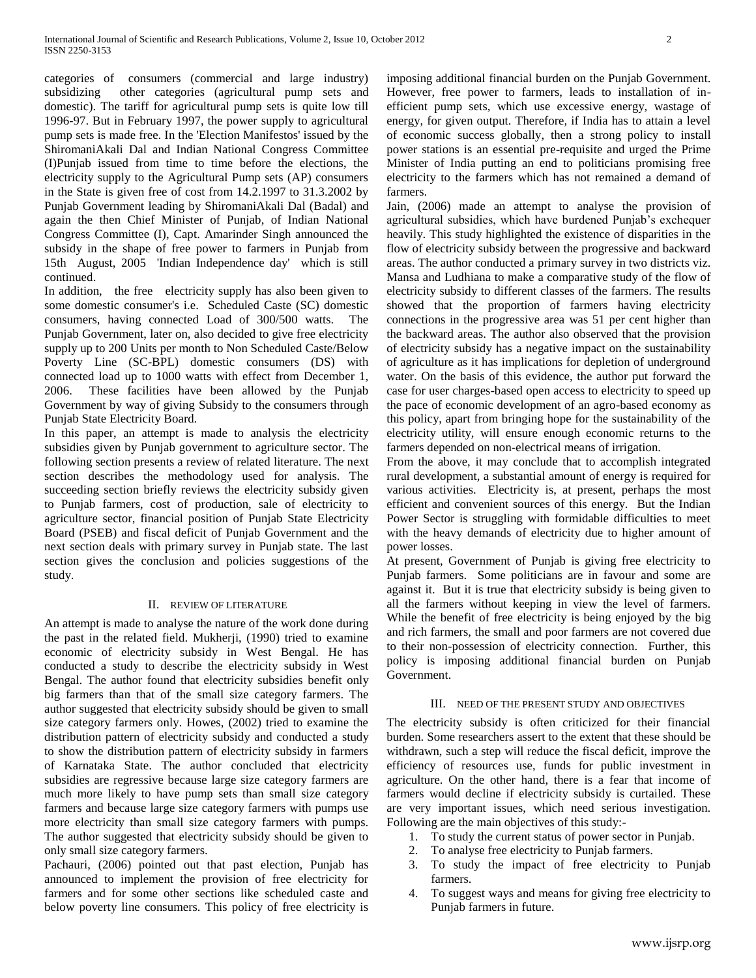categories of consumers (commercial and large industry) subsidizing other categories (agricultural pump sets and domestic). The tariff for agricultural pump sets is quite low till 1996-97. But in February 1997, the power supply to agricultural pump sets is made free. In the 'Election Manifestos' issued by the ShiromaniAkali Dal and Indian National Congress Committee (I)Punjab issued from time to time before the elections, the electricity supply to the Agricultural Pump sets (AP) consumers in the State is given free of cost from 14.2.1997 to 31.3.2002 by Punjab Government leading by ShiromaniAkali Dal (Badal) and again the then Chief Minister of Punjab, of Indian National Congress Committee (I), Capt. Amarinder Singh announced the subsidy in the shape of free power to farmers in Punjab from 15th August, 2005 'Indian Independence day' which is still continued.

In addition, the free electricity supply has also been given to some domestic consumer's i.e. Scheduled Caste (SC) domestic consumers, having connected Load of 300/500 watts. The Punjab Government, later on, also decided to give free electricity supply up to 200 Units per month to Non Scheduled Caste/Below Poverty Line (SC-BPL) domestic consumers (DS) with connected load up to 1000 watts with effect from December 1, 2006. These facilities have been allowed by the Punjab Government by way of giving Subsidy to the consumers through Punjab State Electricity Board.

In this paper, an attempt is made to analysis the electricity subsidies given by Punjab government to agriculture sector. The following section presents a review of related literature. The next section describes the methodology used for analysis. The succeeding section briefly reviews the electricity subsidy given to Punjab farmers, cost of production, sale of electricity to agriculture sector, financial position of Punjab State Electricity Board (PSEB) and fiscal deficit of Punjab Government and the next section deals with primary survey in Punjab state. The last section gives the conclusion and policies suggestions of the study.

## II. REVIEW OF LITERATURE

An attempt is made to analyse the nature of the work done during the past in the related field. Mukherji, (1990) tried to examine economic of electricity subsidy in West Bengal. He has conducted a study to describe the electricity subsidy in West Bengal. The author found that electricity subsidies benefit only big farmers than that of the small size category farmers. The author suggested that electricity subsidy should be given to small size category farmers only. Howes, (2002) tried to examine the distribution pattern of electricity subsidy and conducted a study to show the distribution pattern of electricity subsidy in farmers of Karnataka State. The author concluded that electricity subsidies are regressive because large size category farmers are much more likely to have pump sets than small size category farmers and because large size category farmers with pumps use more electricity than small size category farmers with pumps. The author suggested that electricity subsidy should be given to only small size category farmers.

Pachauri, (2006) pointed out that past election, Punjab has announced to implement the provision of free electricity for farmers and for some other sections like scheduled caste and below poverty line consumers. This policy of free electricity is imposing additional financial burden on the Punjab Government. However, free power to farmers, leads to installation of inefficient pump sets, which use excessive energy, wastage of energy, for given output. Therefore, if India has to attain a level of economic success globally, then a strong policy to install power stations is an essential pre-requisite and urged the Prime Minister of India putting an end to politicians promising free electricity to the farmers which has not remained a demand of farmers.

Jain, (2006) made an attempt to analyse the provision of agricultural subsidies, which have burdened Punjab's exchequer heavily. This study highlighted the existence of disparities in the flow of electricity subsidy between the progressive and backward areas. The author conducted a primary survey in two districts viz. Mansa and Ludhiana to make a comparative study of the flow of electricity subsidy to different classes of the farmers. The results showed that the proportion of farmers having electricity connections in the progressive area was 51 per cent higher than the backward areas. The author also observed that the provision of electricity subsidy has a negative impact on the sustainability of agriculture as it has implications for depletion of underground water. On the basis of this evidence, the author put forward the case for user charges-based open access to electricity to speed up the pace of economic development of an agro-based economy as this policy, apart from bringing hope for the sustainability of the electricity utility, will ensure enough economic returns to the farmers depended on non-electrical means of irrigation.

From the above, it may conclude that to accomplish integrated rural development, a substantial amount of energy is required for various activities. Electricity is, at present, perhaps the most efficient and convenient sources of this energy. But the Indian Power Sector is struggling with formidable difficulties to meet with the heavy demands of electricity due to higher amount of power losses.

At present, Government of Punjab is giving free electricity to Punjab farmers. Some politicians are in favour and some are against it. But it is true that electricity subsidy is being given to all the farmers without keeping in view the level of farmers. While the benefit of free electricity is being enjoyed by the big and rich farmers, the small and poor farmers are not covered due to their non-possession of electricity connection. Further, this policy is imposing additional financial burden on Punjab Government.

#### III. NEED OF THE PRESENT STUDY AND OBJECTIVES

The electricity subsidy is often criticized for their financial burden. Some researchers assert to the extent that these should be withdrawn, such a step will reduce the fiscal deficit, improve the efficiency of resources use, funds for public investment in agriculture. On the other hand, there is a fear that income of farmers would decline if electricity subsidy is curtailed. These are very important issues, which need serious investigation. Following are the main objectives of this study:-

- 1. To study the current status of power sector in Punjab.
- 2. To analyse free electricity to Punjab farmers.
- 3. To study the impact of free electricity to Punjab farmers.
- 4. To suggest ways and means for giving free electricity to Punjab farmers in future.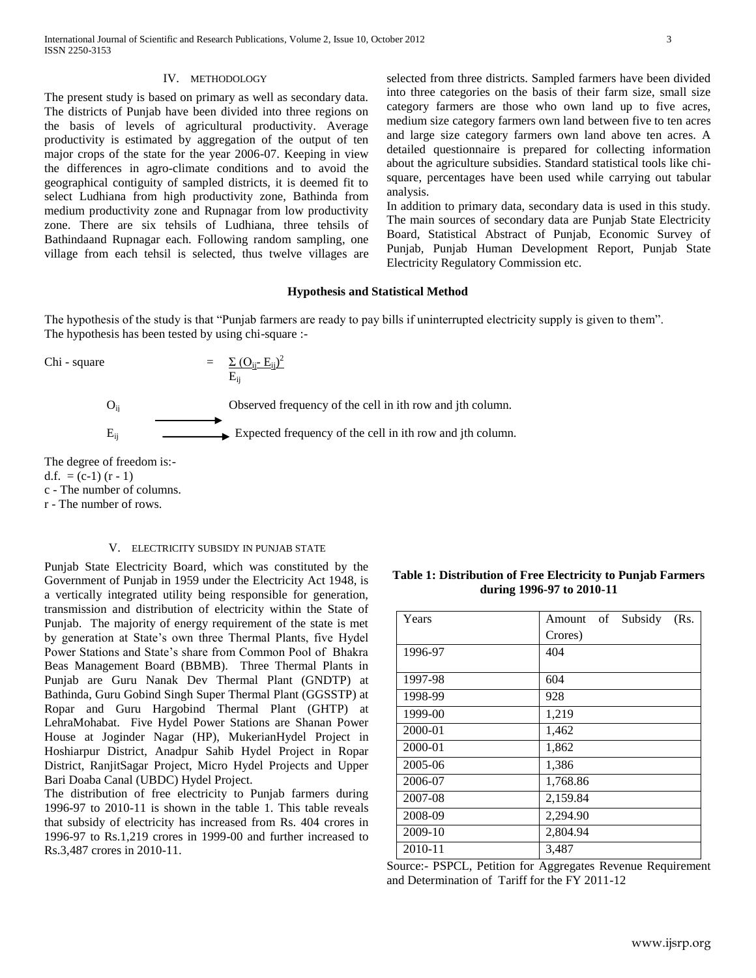#### IV. METHODOLOGY

The present study is based on primary as well as secondary data. The districts of Punjab have been divided into three regions on the basis of levels of agricultural productivity. Average productivity is estimated by aggregation of the output of ten major crops of the state for the year 2006-07. Keeping in view the differences in agro-climate conditions and to avoid the geographical contiguity of sampled districts, it is deemed fit to select Ludhiana from high productivity zone, Bathinda from medium productivity zone and Rupnagar from low productivity zone. There are six tehsils of Ludhiana, three tehsils of Bathindaand Rupnagar each. Following random sampling, one village from each tehsil is selected, thus twelve villages are selected from three districts. Sampled farmers have been divided into three categories on the basis of their farm size, small size category farmers are those who own land up to five acres, medium size category farmers own land between five to ten acres and large size category farmers own land above ten acres. A detailed questionnaire is prepared for collecting information about the agriculture subsidies. Standard statistical tools like chisquare, percentages have been used while carrying out tabular analysis.

In addition to primary data, secondary data is used in this study. The main sources of secondary data are Punjab State Electricity Board, Statistical Abstract of Punjab, Economic Survey of Punjab, Punjab Human Development Report, Punjab State Electricity Regulatory Commission etc.

## **Hypothesis and Statistical Method**

The hypothesis of the study is that "Punjab farmers are ready to pay bills if uninterrupted electricity supply is given to them". The hypothesis has been tested by using chi-square :-

Chi - square

\n
$$
= \frac{\sum (O_{ij} - E_{ij})^{2}}{E_{ij}}
$$
\nObserved frequency of the cell in ith row and jth column.

\n
$$
E_{ij}
$$
\nExpected frequency of the cell in ith row and jth column.

The degree of freedom is:-

d.f. =  $(c-1)$   $(r-1)$ 

c - The number of columns.

r - The number of rows.

## V. ELECTRICITY SUBSIDY IN PUNJAB STATE

Punjab State Electricity Board, which was constituted by the Government of Punjab in 1959 under the Electricity Act 1948, is a vertically integrated utility being responsible for generation, transmission and distribution of electricity within the State of Punjab. The majority of energy requirement of the state is met by generation at State's own three Thermal Plants, five Hydel Power Stations and State's share from Common Pool of Bhakra Beas Management Board (BBMB). Three Thermal Plants in Punjab are Guru Nanak Dev Thermal Plant (GNDTP) at Bathinda, Guru Gobind Singh Super Thermal Plant (GGSSTP) at Ropar and Guru Hargobind Thermal Plant (GHTP) at LehraMohabat. Five Hydel Power Stations are Shanan Power House at Joginder Nagar (HP), MukerianHydel Project in Hoshiarpur District, Anadpur Sahib Hydel Project in Ropar District, RanjitSagar Project, Micro Hydel Projects and Upper Bari Doaba Canal (UBDC) Hydel Project.

The distribution of free electricity to Punjab farmers during 1996-97 to 2010-11 is shown in the table 1. This table reveals that subsidy of electricity has increased from Rs. 404 crores in 1996-97 to Rs.1,219 crores in 1999-00 and further increased to Rs.3,487 crores in 2010-11.

| Subsidy<br>(Rs.<br>of<br>Amount |
|---------------------------------|
| Crores)                         |
| 404                             |
|                                 |
| 604                             |
| 928                             |
| 1,219                           |
| 1,462                           |
| 1,862                           |
| 1,386                           |
| 1,768.86                        |
| 2,159.84                        |
| 2,294.90                        |
| 2,804.94                        |
| 3,487                           |
|                                 |

Source:- PSPCL, Petition for Aggregates Revenue Requirement and Determination of Tariff for the FY 2011-12

## **Table 1: Distribution of Free Electricity to Punjab Farmers during 1996-97 to 2010-11**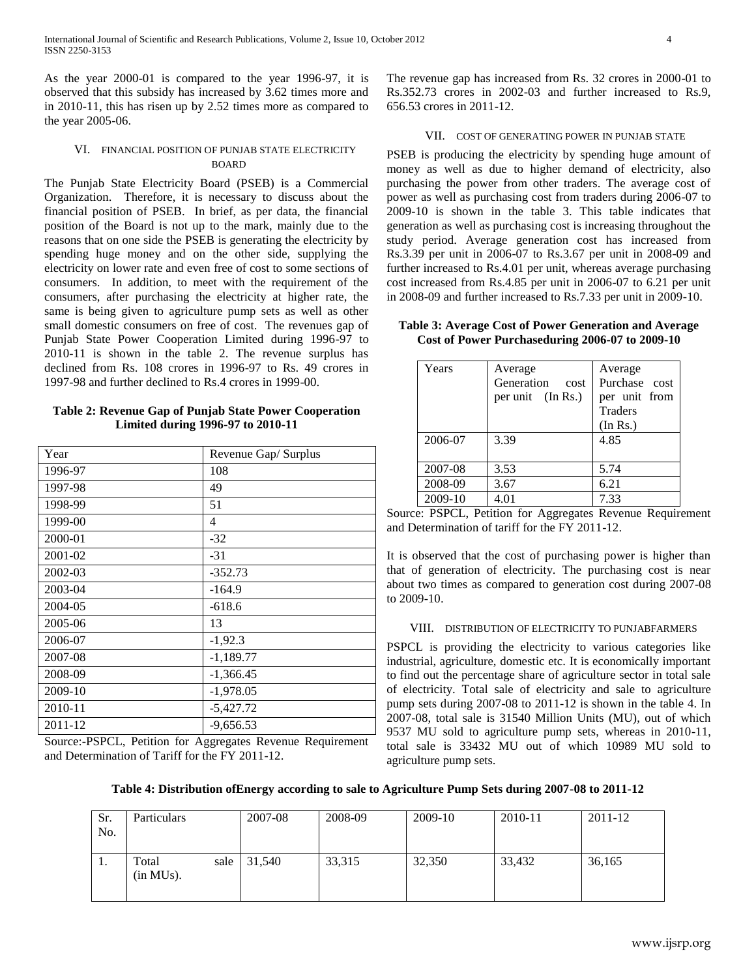As the year 2000-01 is compared to the year 1996-97, it is observed that this subsidy has increased by 3.62 times more and in 2010-11, this has risen up by 2.52 times more as compared to the year 2005-06.

## VI. FINANCIAL POSITION OF PUNJAB STATE ELECTRICITY BOARD

The Punjab State Electricity Board (PSEB) is a Commercial Organization. Therefore, it is necessary to discuss about the financial position of PSEB. In brief, as per data, the financial position of the Board is not up to the mark, mainly due to the reasons that on one side the PSEB is generating the electricity by spending huge money and on the other side, supplying the electricity on lower rate and even free of cost to some sections of consumers. In addition, to meet with the requirement of the consumers, after purchasing the electricity at higher rate, the same is being given to agriculture pump sets as well as other small domestic consumers on free of cost. The revenues gap of Punjab State Power Cooperation Limited during 1996-97 to 2010-11 is shown in the table 2. The revenue surplus has declined from Rs. 108 crores in 1996-97 to Rs. 49 crores in 1997-98 and further declined to Rs.4 crores in 1999-00.

## **Table 2: Revenue Gap of Punjab State Power Cooperation Limited during 1996-97 to 2010-11**

| Year    | Revenue Gap/ Surplus |
|---------|----------------------|
| 1996-97 | 108                  |
| 1997-98 | 49                   |
| 1998-99 | 51                   |
| 1999-00 | 4                    |
| 2000-01 | $-32$                |
| 2001-02 | $-31$                |
| 2002-03 | $-352.73$            |
| 2003-04 | $-164.9$             |
| 2004-05 | $-618.6$             |
| 2005-06 | 13                   |
| 2006-07 | $-1,92.3$            |
| 2007-08 | $-1,189.77$          |
| 2008-09 | $-1,366.45$          |
| 2009-10 | $-1,978.05$          |
| 2010-11 | $-5,427.72$          |
| 2011-12 | $-9,656.53$          |

Source:-PSPCL, Petition for Aggregates Revenue Requirement and Determination of Tariff for the FY 2011-12.

The revenue gap has increased from Rs. 32 crores in 2000-01 to Rs.352.73 crores in 2002-03 and further increased to Rs.9, 656.53 crores in 2011-12.

## VII. COST OF GENERATING POWER IN PUNJAB STATE

PSEB is producing the electricity by spending huge amount of money as well as due to higher demand of electricity, also purchasing the power from other traders. The average cost of power as well as purchasing cost from traders during 2006-07 to 2009-10 is shown in the table 3. This table indicates that generation as well as purchasing cost is increasing throughout the study period. Average generation cost has increased from Rs.3.39 per unit in 2006-07 to Rs.3.67 per unit in 2008-09 and further increased to Rs.4.01 per unit, whereas average purchasing cost increased from Rs.4.85 per unit in 2006-07 to 6.21 per unit in 2008-09 and further increased to Rs.7.33 per unit in 2009-10.

**Table 3: Average Cost of Power Generation and Average Cost of Power Purchaseduring 2006-07 to 2009-10**

| Years   | Average<br>Generation<br>cost<br>per unit (In Rs.) | Average<br>Purchase cost<br>per unit from<br><b>Traders</b><br>(In Rs.) |
|---------|----------------------------------------------------|-------------------------------------------------------------------------|
| 2006-07 | 3.39                                               | 4.85                                                                    |
| 2007-08 | 3.53                                               | 5.74                                                                    |
| 2008-09 | 3.67                                               | 6.21                                                                    |
| 2009-10 | 4.01                                               | 7.33                                                                    |

Source: PSPCL, Petition for Aggregates Revenue Requirement and Determination of tariff for the FY 2011-12.

It is observed that the cost of purchasing power is higher than that of generation of electricity. The purchasing cost is near about two times as compared to generation cost during 2007-08 to 2009-10.

#### VIII. DISTRIBUTION OF ELECTRICITY TO PUNJABFARMERS

PSPCL is providing the electricity to various categories like industrial, agriculture, domestic etc. It is economically important to find out the percentage share of agriculture sector in total sale of electricity. Total sale of electricity and sale to agriculture pump sets during 2007-08 to 2011-12 is shown in the table 4. In 2007-08, total sale is 31540 Million Units (MU), out of which 9537 MU sold to agriculture pump sets, whereas in 2010-11, total sale is 33432 MU out of which 10989 MU sold to agriculture pump sets.

**Table 4: Distribution ofEnergy according to sale to Agriculture Pump Sets during 2007-08 to 2011-12**

| Sr.<br>No. | <b>Particulars</b> | 2007-08         | 2008-09 | 2009-10 | 2010-11 | 2011-12 |
|------------|--------------------|-----------------|---------|---------|---------|---------|
| . .        | Total<br>(in MUs). | sale   $31,540$ | 33,315  | 32,350  | 33,432  | 36,165  |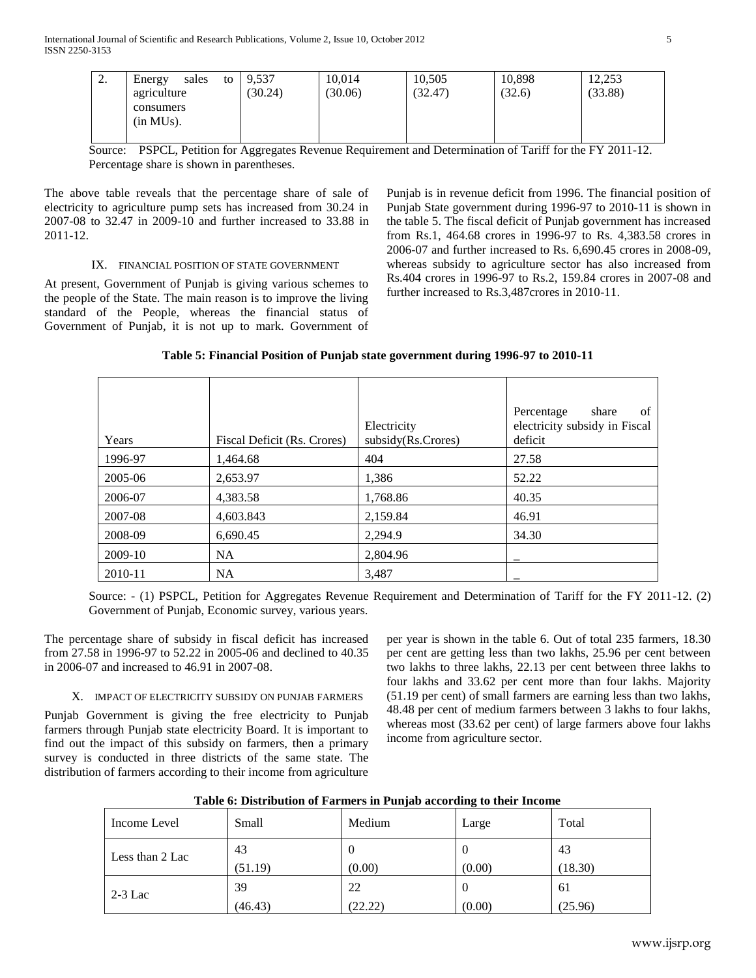| ٠. | Energy<br>sales<br>to<br>agriculture<br>consumers<br>(in MUs). | 9,537<br>(30.24) | 10,014<br>(30.06) | 10,505<br>(32.47) | 10,898<br>(32.6) | 12,253<br>(33.88) |
|----|----------------------------------------------------------------|------------------|-------------------|-------------------|------------------|-------------------|
|    |                                                                |                  |                   |                   |                  |                   |

Source: PSPCL, Petition for Aggregates Revenue Requirement and Determination of Tariff for the FY 2011-12. Percentage share is shown in parentheses.

The above table reveals that the percentage share of sale of electricity to agriculture pump sets has increased from 30.24 in 2007-08 to 32.47 in 2009-10 and further increased to 33.88 in 2011-12.

#### IX. FINANCIAL POSITION OF STATE GOVERNMENT

At present, Government of Punjab is giving various schemes to the people of the State. The main reason is to improve the living standard of the People, whereas the financial status of Government of Punjab, it is not up to mark. Government of Punjab is in revenue deficit from 1996. The financial position of Punjab State government during 1996-97 to 2010-11 is shown in the table 5. The fiscal deficit of Punjab government has increased from Rs.1, 464.68 crores in 1996-97 to Rs. 4,383.58 crores in 2006-07 and further increased to Rs. 6,690.45 crores in 2008-09, whereas subsidy to agriculture sector has also increased from Rs.404 crores in 1996-97 to Rs.2, 159.84 crores in 2007-08 and further increased to Rs.3,487crores in 2010-11.

| Years   | Fiscal Deficit (Rs. Crores) | Electricity<br>subsidy(Rs.Crores) | Percentage<br>share<br>οf<br>electricity subsidy in Fiscal<br>deficit |
|---------|-----------------------------|-----------------------------------|-----------------------------------------------------------------------|
| 1996-97 | 1,464.68                    | 404                               | 27.58                                                                 |
| 2005-06 | 2,653.97                    | 1,386                             | 52.22                                                                 |
| 2006-07 | 4,383.58                    | 1,768.86                          | 40.35                                                                 |
| 2007-08 | 4,603.843                   | 2,159.84                          | 46.91                                                                 |
| 2008-09 | 6,690.45                    | 2,294.9                           | 34.30                                                                 |
| 2009-10 | NA.                         | 2,804.96                          |                                                                       |
| 2010-11 | <b>NA</b>                   | 3,487                             |                                                                       |

## **Table 5: Financial Position of Punjab state government during 1996-97 to 2010-11**

Source: - (1) PSPCL, Petition for Aggregates Revenue Requirement and Determination of Tariff for the FY 2011-12. (2) Government of Punjab, Economic survey, various years.

The percentage share of subsidy in fiscal deficit has increased from 27.58 in 1996-97 to 52.22 in 2005-06 and declined to 40.35 in 2006-07 and increased to 46.91 in 2007-08.

#### X. IMPACT OF ELECTRICITY SUBSIDY ON PUNJAB FARMERS

Punjab Government is giving the free electricity to Punjab farmers through Punjab state electricity Board. It is important to find out the impact of this subsidy on farmers, then a primary survey is conducted in three districts of the same state. The distribution of farmers according to their income from agriculture

per year is shown in the table 6. Out of total 235 farmers, 18.30 per cent are getting less than two lakhs, 25.96 per cent between two lakhs to three lakhs, 22.13 per cent between three lakhs to four lakhs and 33.62 per cent more than four lakhs. Majority (51.19 per cent) of small farmers are earning less than two lakhs, 48.48 per cent of medium farmers between 3 lakhs to four lakhs, whereas most (33.62 per cent) of large farmers above four lakhs income from agriculture sector.

| Table 6: Distribution of Farmers in Punjab according to their Income |
|----------------------------------------------------------------------|
|----------------------------------------------------------------------|

| Income Level    | Small   | Medium  | Large  | Total   |
|-----------------|---------|---------|--------|---------|
| Less than 2 Lac | 43      | v       | U      | 43      |
|                 | (51.19) | (0.00)  | (0.00) | (18.30) |
| $2-3$ Lac       | 39      | 22      | O      | 61      |
|                 | (46.43) | (22.22) | (0.00) | (25.96) |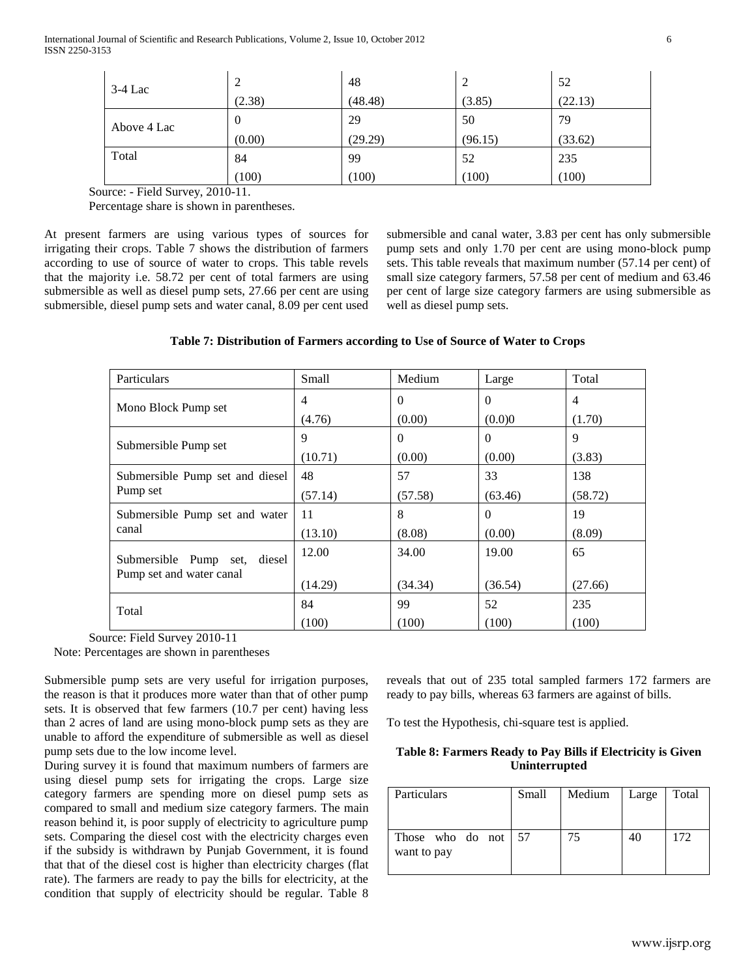| $3-4$ Lac   | 2        | 48      | $\overline{c}$ | 52      |
|-------------|----------|---------|----------------|---------|
|             | (2.38)   | (48.48) | (3.85)         | (22.13) |
| Above 4 Lac | $\theta$ | 29      | 50             | 79      |
|             | (0.00)   | (29.29) | (96.15)        | (33.62) |
| Total       | 84       | 99      | 52             | 235     |
|             | (100)    | (100)   | (100)          | (100)   |

Source: - Field Survey, 2010-11.

Percentage share is shown in parentheses.

At present farmers are using various types of sources for irrigating their crops. Table 7 shows the distribution of farmers according to use of source of water to crops. This table revels that the majority i.e. 58.72 per cent of total farmers are using submersible as well as diesel pump sets, 27.66 per cent are using submersible, diesel pump sets and water canal, 8.09 per cent used submersible and canal water, 3.83 per cent has only submersible pump sets and only 1.70 per cent are using mono-block pump sets. This table reveals that maximum number (57.14 per cent) of small size category farmers, 57.58 per cent of medium and 63.46 per cent of large size category farmers are using submersible as well as diesel pump sets.

## **Table 7: Distribution of Farmers according to Use of Source of Water to Crops**

| Particulars                                                 | Small   | Medium   | Large    | Total          |
|-------------------------------------------------------------|---------|----------|----------|----------------|
| Mono Block Pump set                                         | 4       | $\Omega$ | $\Omega$ | $\overline{4}$ |
|                                                             | (4.76)  | (0.00)   | (0.0)0   | (1.70)         |
| Submersible Pump set                                        | 9       | $\theta$ | $\Omega$ | 9              |
|                                                             | (10.71) | (0.00)   | (0.00)   | (3.83)         |
| Submersible Pump set and diesel                             | 48      | 57       | 33       | 138            |
| Pump set                                                    | (57.14) | (57.58)  | (63.46)  | (58.72)        |
| Submersible Pump set and water                              | 11      | 8        | $\Omega$ | 19             |
| canal                                                       | (13.10) | (8.08)   | (0.00)   | (8.09)         |
| diesel<br>Submersible Pump set,<br>Pump set and water canal | 12.00   | 34.00    | 19.00    | 65             |
|                                                             | (14.29) | (34.34)  | (36.54)  | (27.66)        |
| Total                                                       | 84      | 99       | 52       | 235            |
|                                                             | (100)   | (100)    | (100)    | (100)          |

Source: Field Survey 2010-11

Note: Percentages are shown in parentheses

Submersible pump sets are very useful for irrigation purposes, the reason is that it produces more water than that of other pump sets. It is observed that few farmers (10.7 per cent) having less than 2 acres of land are using mono-block pump sets as they are unable to afford the expenditure of submersible as well as diesel pump sets due to the low income level.

During survey it is found that maximum numbers of farmers are using diesel pump sets for irrigating the crops. Large size category farmers are spending more on diesel pump sets as compared to small and medium size category farmers. The main reason behind it, is poor supply of electricity to agriculture pump sets. Comparing the diesel cost with the electricity charges even if the subsidy is withdrawn by Punjab Government, it is found that that of the diesel cost is higher than electricity charges (flat rate). The farmers are ready to pay the bills for electricity, at the condition that supply of electricity should be regular. Table 8 reveals that out of 235 total sampled farmers 172 farmers are ready to pay bills, whereas 63 farmers are against of bills.

To test the Hypothesis, chi-square test is applied.

## **Table 8: Farmers Ready to Pay Bills if Electricity is Given Uninterrupted**

| <b>Particulars</b>                 | Small | Medium | Large | Total |
|------------------------------------|-------|--------|-------|-------|
| Those who do not 57<br>want to pay |       | 75     |       | 172   |